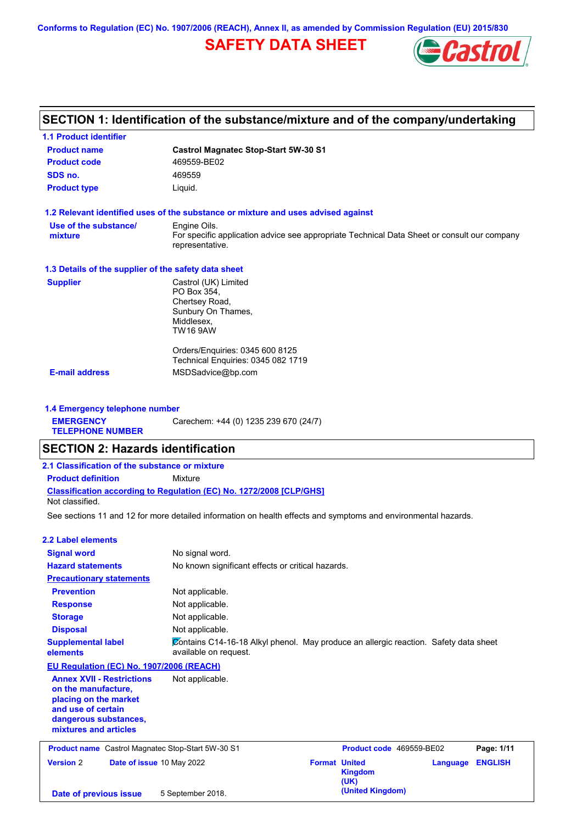**Conforms to Regulation (EC) No. 1907/2006 (REACH), Annex II, as amended by Commission Regulation (EU) 2015/830**

# **SAFETY DATA SHEET**



# **SECTION 1: Identification of the substance/mixture and of the company/undertaking**

| <b>1.1 Product identifier</b>                        |                                                                                                                |
|------------------------------------------------------|----------------------------------------------------------------------------------------------------------------|
| <b>Product name</b>                                  | <b>Castrol Magnatec Stop-Start 5W-30 S1</b>                                                                    |
| <b>Product code</b>                                  | 469559-BE02                                                                                                    |
| SDS no.                                              | 469559                                                                                                         |
| <b>Product type</b>                                  | Liquid.                                                                                                        |
|                                                      | 1.2 Relevant identified uses of the substance or mixture and uses advised against                              |
| Use of the substance/                                | Engine Oils.                                                                                                   |
| mixture                                              | For specific application advice see appropriate Technical Data Sheet or consult our company<br>representative. |
| 1.3 Details of the supplier of the safety data sheet |                                                                                                                |
| <b>Supplier</b>                                      | Castrol (UK) Limited                                                                                           |
|                                                      | PO Box 354.                                                                                                    |
|                                                      | Chertsey Road,                                                                                                 |
|                                                      | Sunbury On Thames,<br>Middlesex,                                                                               |
|                                                      | TW16 9AW                                                                                                       |
|                                                      | Orders/Enquiries: 0345 600 8125                                                                                |
|                                                      | Technical Enquiries: 0345 082 1719                                                                             |
| <b>E-mail address</b>                                | MSDSadvice@bp.com                                                                                              |
|                                                      |                                                                                                                |

**1.4 Emergency telephone number EMERGENCY TELEPHONE NUMBER** Carechem: +44 (0) 1235 239 670 (24/7)

# **SECTION 2: Hazards identification**

| 2.1 Classification of the substance or mixture |                                                                            |  |  |  |  |
|------------------------------------------------|----------------------------------------------------------------------------|--|--|--|--|
| <b>Product definition</b>                      | Mixture                                                                    |  |  |  |  |
| Not classified.                                | <b>Classification according to Regulation (EC) No. 1272/2008 ICLP/GHS1</b> |  |  |  |  |

See sections 11 and 12 for more detailed information on health effects and symptoms and environmental hazards.

# **2.2 Label elements**

| <b>Signal word</b>                                                                                                                                       | No signal word.                                                                                               |                      |                          |          |                |  |
|----------------------------------------------------------------------------------------------------------------------------------------------------------|---------------------------------------------------------------------------------------------------------------|----------------------|--------------------------|----------|----------------|--|
| <b>Hazard statements</b>                                                                                                                                 | No known significant effects or critical hazards.                                                             |                      |                          |          |                |  |
| <b>Precautionary statements</b>                                                                                                                          |                                                                                                               |                      |                          |          |                |  |
| <b>Prevention</b>                                                                                                                                        | Not applicable.                                                                                               |                      |                          |          |                |  |
| <b>Response</b>                                                                                                                                          | Not applicable.                                                                                               |                      |                          |          |                |  |
| <b>Storage</b>                                                                                                                                           | Not applicable.                                                                                               |                      |                          |          |                |  |
| <b>Disposal</b>                                                                                                                                          | Not applicable.                                                                                               |                      |                          |          |                |  |
| <b>Supplemental label</b><br>elements                                                                                                                    | Contains C14-16-18 Alkyl phenol. May produce an allergic reaction. Safety data sheet<br>available on request. |                      |                          |          |                |  |
| EU Regulation (EC) No. 1907/2006 (REACH)                                                                                                                 |                                                                                                               |                      |                          |          |                |  |
| <b>Annex XVII - Restrictions</b><br>on the manufacture.<br>placing on the market<br>and use of certain<br>dangerous substances,<br>mixtures and articles | Not applicable.                                                                                               |                      |                          |          |                |  |
| <b>Product name</b> Castrol Magnatec Stop-Start 5W-30 S1                                                                                                 |                                                                                                               |                      | Product code 469559-BE02 |          | Page: 1/11     |  |
| <b>Version 2</b><br>Date of issue 10 May 2022                                                                                                            |                                                                                                               | <b>Format United</b> | <b>Kingdom</b><br>(UK)   | Language | <b>ENGLISH</b> |  |
| Date of previous issue                                                                                                                                   | 5 September 2018.                                                                                             |                      | (United Kingdom)         |          |                |  |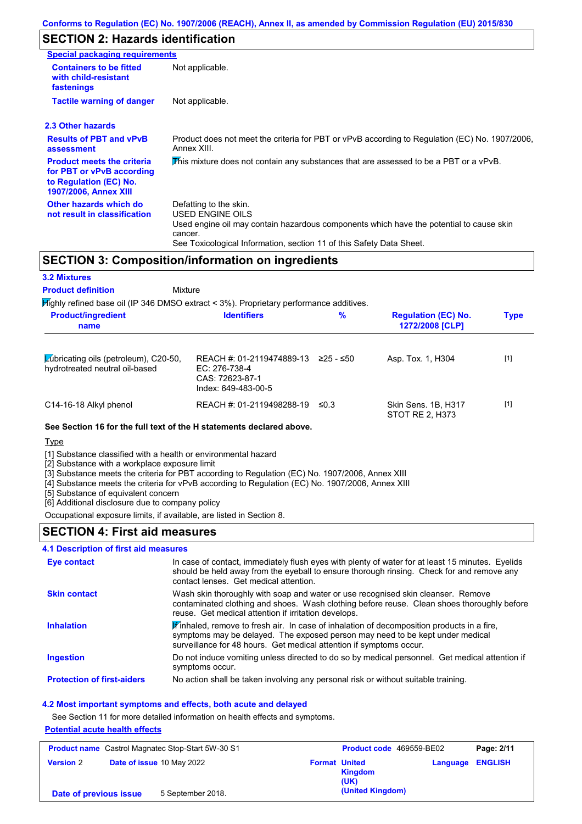### **Conforms to Regulation (EC) No. 1907/2006 (REACH), Annex II, as amended by Commission Regulation (EU) 2015/830**

# **SECTION 2: Hazards identification**

| <b>Special packaging requirements</b>                                                                                    |                                                                                                                                                                                                                          |
|--------------------------------------------------------------------------------------------------------------------------|--------------------------------------------------------------------------------------------------------------------------------------------------------------------------------------------------------------------------|
| <b>Containers to be fitted</b><br>with child-resistant<br>fastenings                                                     | Not applicable.                                                                                                                                                                                                          |
| <b>Tactile warning of danger</b>                                                                                         | Not applicable.                                                                                                                                                                                                          |
| 2.3 Other hazards                                                                                                        |                                                                                                                                                                                                                          |
| <b>Results of PBT and vPvB</b><br>assessment                                                                             | Product does not meet the criteria for PBT or vPvB according to Regulation (EC) No. 1907/2006,<br>Annex XIII.                                                                                                            |
| <b>Product meets the criteria</b><br>for PBT or vPvB according<br>to Regulation (EC) No.<br><b>1907/2006, Annex XIII</b> | This mixture does not contain any substances that are assessed to be a PBT or a vPvB.                                                                                                                                    |
| Other hazards which do<br>not result in classification                                                                   | Defatting to the skin.<br>USED ENGINE OILS<br>Used engine oil may contain hazardous components which have the potential to cause skin<br>cancer.<br>See Toxicological Information, section 11 of this Safety Data Sheet. |

## **SECTION 3: Composition/information on ingredients**

#### **3.2 Mixtures**

Mixture **Product definition**

**Highly refined base oil (IP 346 DMSO extract < 3%). Proprietary performance additives.** 

| <b>Product/ingredient</b><br>name                                              | <b>Identifiers</b>                                                                   | $\%$       | <b>Regulation (EC) No.</b><br>1272/2008 [CLP] | <b>Type</b> |
|--------------------------------------------------------------------------------|--------------------------------------------------------------------------------------|------------|-----------------------------------------------|-------------|
| <b>Zubricating oils (petroleum), C20-50,</b><br>hydrotreated neutral oil-based | REACH #: 01-2119474889-13<br>EC: 276-738-4<br>CAS: 72623-87-1<br>Index: 649-483-00-5 | ≥25 - ≤50  | Asp. Tox. 1, H304                             | $[1]$       |
| C14-16-18 Alkyl phenol                                                         | REACH #: 01-2119498288-19                                                            | $\leq 0.3$ | Skin Sens. 1B, H317<br>STOT RE 2, H373        | $[1]$       |

### **See Section 16 for the full text of the H statements declared above.**

**Type** 

[1] Substance classified with a health or environmental hazard

[2] Substance with a workplace exposure limit

[3] Substance meets the criteria for PBT according to Regulation (EC) No. 1907/2006, Annex XIII

[4] Substance meets the criteria for vPvB according to Regulation (EC) No. 1907/2006, Annex XIII

[5] Substance of equivalent concern

[6] Additional disclosure due to company policy

Occupational exposure limits, if available, are listed in Section 8.

## **SECTION 4: First aid measures**

### **4.1 Description of first aid measures**

| <b>Eye contact</b>                | In case of contact, immediately flush eyes with plenty of water for at least 15 minutes. Eyelids<br>should be held away from the eyeball to ensure thorough rinsing. Check for and remove any<br>contact lenses. Get medical attention.                                 |
|-----------------------------------|-------------------------------------------------------------------------------------------------------------------------------------------------------------------------------------------------------------------------------------------------------------------------|
| <b>Skin contact</b>               | Wash skin thoroughly with soap and water or use recognised skin cleanser. Remove<br>contaminated clothing and shoes. Wash clothing before reuse. Clean shoes thoroughly before<br>reuse. Get medical attention if irritation develops.                                  |
| <b>Inhalation</b>                 | $\mathbf{\mathscr{F}}$ inhaled, remove to fresh air. In case of inhalation of decomposition products in a fire,<br>symptoms may be delayed. The exposed person may need to be kept under medical<br>surveillance for 48 hours. Get medical attention if symptoms occur. |
| <b>Ingestion</b>                  | Do not induce vomiting unless directed to do so by medical personnel. Get medical attention if<br>symptoms occur.                                                                                                                                                       |
| <b>Protection of first-aiders</b> | No action shall be taken involving any personal risk or without suitable training.                                                                                                                                                                                      |

### **4.2 Most important symptoms and effects, both acute and delayed**

See Section 11 for more detailed information on health effects and symptoms.

#### **Potential acute health effects**

| <b>Product name</b> Castrol Magnatec Stop-Start 5W-30 S1 |  | Product code 469559-BE02  |                      | Page: 2/11             |                         |  |
|----------------------------------------------------------|--|---------------------------|----------------------|------------------------|-------------------------|--|
| <b>Version 2</b>                                         |  | Date of issue 10 May 2022 | <b>Format United</b> | <b>Kingdom</b><br>(UK) | <b>Language ENGLISH</b> |  |
| 5 September 2018.<br>Date of previous issue              |  |                           | (United Kingdom)     |                        |                         |  |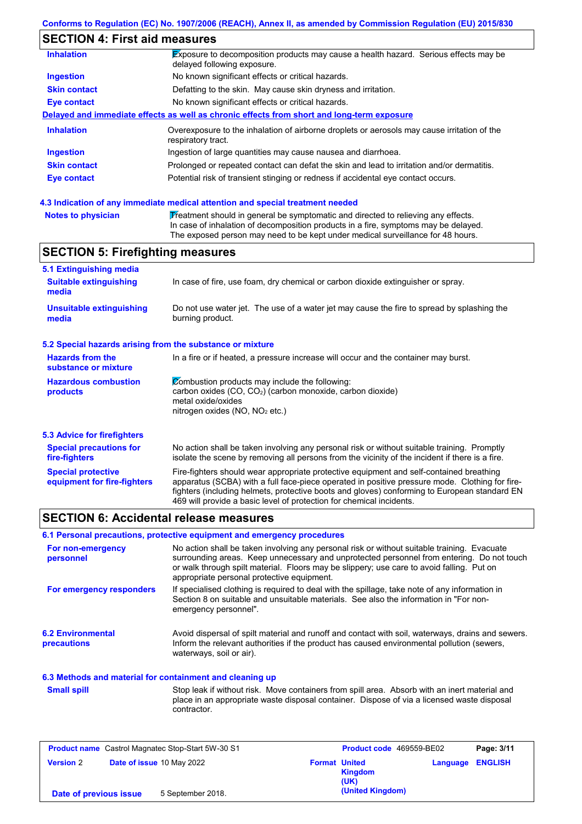### **Conforms to Regulation (EC) No. 1907/2006 (REACH), Annex II, as amended by Commission Regulation (EU) 2015/830**

# **SECTION 4: First aid measures**

| <b>Inhalation</b>   | Exposure to decomposition products may cause a health hazard. Serious effects may be<br>delayed following exposure. |
|---------------------|---------------------------------------------------------------------------------------------------------------------|
| <b>Ingestion</b>    | No known significant effects or critical hazards.                                                                   |
| <b>Skin contact</b> | Defatting to the skin. May cause skin dryness and irritation.                                                       |
| Eye contact         | No known significant effects or critical hazards.                                                                   |
|                     | Delayed and immediate effects as well as chronic effects from short and long-term exposure                          |
| <b>Inhalation</b>   | Overexposure to the inhalation of airborne droplets or aerosols may cause irritation of the<br>respiratory tract.   |
| <b>Ingestion</b>    | Ingestion of large quantities may cause nausea and diarrhoea.                                                       |
| <b>Skin contact</b> | Prolonged or repeated contact can defat the skin and lead to irritation and/or dermatitis.                          |
| Eye contact         | Potential risk of transient stinging or redness if accidental eye contact occurs.                                   |
|                     |                                                                                                                     |

### **4.3 Indication of any immediate medical attention and special treatment needed**

| <b>Notes to physician</b> | Treatment should in general be symptomatic and directed to relieving any effects.   |
|---------------------------|-------------------------------------------------------------------------------------|
|                           | In case of inhalation of decomposition products in a fire, symptoms may be delayed. |
|                           | The exposed person may need to be kept under medical surveillance for 48 hours.     |

# **SECTION 5: Firefighting measures**

| 5.1 Extinguishing media                                   |                                                                                                                                                                                                                                                                                                                                                                   |
|-----------------------------------------------------------|-------------------------------------------------------------------------------------------------------------------------------------------------------------------------------------------------------------------------------------------------------------------------------------------------------------------------------------------------------------------|
| <b>Suitable extinguishing</b><br>media                    | In case of fire, use foam, dry chemical or carbon dioxide extinguisher or spray.                                                                                                                                                                                                                                                                                  |
| <b>Unsuitable extinguishing</b><br>media                  | Do not use water jet. The use of a water jet may cause the fire to spread by splashing the<br>burning product.                                                                                                                                                                                                                                                    |
| 5.2 Special hazards arising from the substance or mixture |                                                                                                                                                                                                                                                                                                                                                                   |
| <b>Hazards from the</b><br>substance or mixture           | In a fire or if heated, a pressure increase will occur and the container may burst.                                                                                                                                                                                                                                                                               |
| <b>Hazardous combustion</b><br>products                   | Combustion products may include the following:<br>carbon oxides (CO, CO <sub>2</sub> ) (carbon monoxide, carbon dioxide)<br>metal oxide/oxides<br>nitrogen oxides ( $NO$ , $NO2$ etc.)                                                                                                                                                                            |
| 5.3 Advice for firefighters                               |                                                                                                                                                                                                                                                                                                                                                                   |
| <b>Special precautions for</b><br>fire-fighters           | No action shall be taken involving any personal risk or without suitable training. Promptly<br>isolate the scene by removing all persons from the vicinity of the incident if there is a fire.                                                                                                                                                                    |
| <b>Special protective</b><br>equipment for fire-fighters  | Fire-fighters should wear appropriate protective equipment and self-contained breathing<br>apparatus (SCBA) with a full face-piece operated in positive pressure mode. Clothing for fire-<br>fighters (including helmets, protective boots and gloves) conforming to European standard EN<br>469 will provide a basic level of protection for chemical incidents. |

### **SECTION 6: Accidental release measures**

### **6.1 Personal precautions, protective equipment and emergency procedures**

| For non-emergency<br>personnel                           | No action shall be taken involving any personal risk or without suitable training. Evacuate<br>surrounding areas. Keep unnecessary and unprotected personnel from entering. Do not touch<br>or walk through spilt material. Floors may be slippery; use care to avoid falling. Put on<br>appropriate personal protective equipment. |
|----------------------------------------------------------|-------------------------------------------------------------------------------------------------------------------------------------------------------------------------------------------------------------------------------------------------------------------------------------------------------------------------------------|
| For emergency responders                                 | If specialised clothing is required to deal with the spillage, take note of any information in<br>Section 8 on suitable and unsuitable materials. See also the information in "For non-<br>emergency personnel".                                                                                                                    |
| <b>6.2 Environmental</b><br><b>precautions</b>           | Avoid dispersal of spilt material and runoff and contact with soil, waterways, drains and sewers.<br>Inform the relevant authorities if the product has caused environmental pollution (sewers,<br>waterways, soil or air).                                                                                                         |
| 6.3 Methods and material for containment and cleaning up |                                                                                                                                                                                                                                                                                                                                     |
| <b>Small spill</b>                                       | Stop leak if without risk. Move containers from spill area. Absorb with an inert material and                                                                                                                                                                                                                                       |

place in an appropriate waste disposal container. Dispose of via a licensed waste disposal contractor.

| <b>Product name</b> Castrol Magnatec Stop-Start 5W-30 S1                     |  | <b>Product code</b> 469559-BE02 |                  | Page: 3/11     |  |
|------------------------------------------------------------------------------|--|---------------------------------|------------------|----------------|--|
| <b>Date of issue 10 May 2022</b><br><b>Version 2</b><br><b>Format United</b> |  | <b>Kingdom</b><br>(UK)          | Language         | <b>ENGLISH</b> |  |
| 5 September 2018.<br>Date of previous issue                                  |  |                                 | (United Kingdom) |                |  |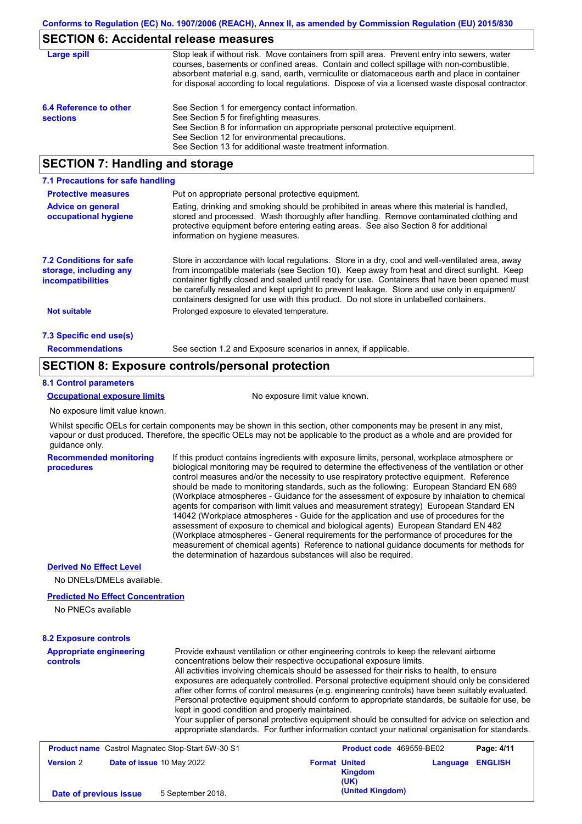### **SECTION 6: Accidental release measures**

| Large spill                               | Stop leak if without risk. Move containers from spill area. Prevent entry into sewers, water<br>courses, basements or confined areas. Contain and collect spillage with non-combustible,<br>absorbent material e.g. sand, earth, vermiculite or diatomaceous earth and place in container<br>for disposal according to local regulations. Dispose of via a licensed waste disposal contractor. |
|-------------------------------------------|------------------------------------------------------------------------------------------------------------------------------------------------------------------------------------------------------------------------------------------------------------------------------------------------------------------------------------------------------------------------------------------------|
| 6.4 Reference to other<br><b>sections</b> | See Section 1 for emergency contact information.<br>See Section 5 for firefighting measures.<br>See Section 8 for information on appropriate personal protective equipment.<br>See Section 12 for environmental precautions.<br>See Section 13 for additional waste treatment information.                                                                                                     |

## **SECTION 7: Handling and storage**

| 7.1 Precautions for safe handling                                                    |                                                                                                                                                                                                                                                                                                                                                                                                                                                                                          |
|--------------------------------------------------------------------------------------|------------------------------------------------------------------------------------------------------------------------------------------------------------------------------------------------------------------------------------------------------------------------------------------------------------------------------------------------------------------------------------------------------------------------------------------------------------------------------------------|
| <b>Protective measures</b>                                                           | Put on appropriate personal protective equipment.                                                                                                                                                                                                                                                                                                                                                                                                                                        |
| <b>Advice on general</b><br>occupational hygiene                                     | Eating, drinking and smoking should be prohibited in areas where this material is handled,<br>stored and processed. Wash thoroughly after handling. Remove contaminated clothing and<br>protective equipment before entering eating areas. See also Section 8 for additional<br>information on hygiene measures.                                                                                                                                                                         |
| <b>7.2 Conditions for safe</b><br>storage, including any<br><i>incompatibilities</i> | Store in accordance with local requlations. Store in a dry, cool and well-ventilated area, away<br>from incompatible materials (see Section 10). Keep away from heat and direct sunlight. Keep<br>container tightly closed and sealed until ready for use. Containers that have been opened must<br>be carefully resealed and kept upright to prevent leakage. Store and use only in equipment/<br>containers designed for use with this product. Do not store in unlabelled containers. |
| <b>Not suitable</b>                                                                  | Prolonged exposure to elevated temperature.                                                                                                                                                                                                                                                                                                                                                                                                                                              |
| 7.3 Specific end use(s)                                                              |                                                                                                                                                                                                                                                                                                                                                                                                                                                                                          |
| <b>Recommendations</b>                                                               | See section 1.2 and Exposure scenarios in annex, if applicable.                                                                                                                                                                                                                                                                                                                                                                                                                          |

### **SECTION 8: Exposure controls/personal protection**

#### **8.1 Control parameters**

#### **Occupational exposure limits** No exposure limit value known.

No exposure limit value known.

Whilst specific OELs for certain components may be shown in this section, other components may be present in any mist, vapour or dust produced. Therefore, the specific OELs may not be applicable to the product as a whole and are provided for guidance only.

**Recommended monitoring procedures**

If this product contains ingredients with exposure limits, personal, workplace atmosphere or biological monitoring may be required to determine the effectiveness of the ventilation or other control measures and/or the necessity to use respiratory protective equipment. Reference should be made to monitoring standards, such as the following: European Standard EN 689 (Workplace atmospheres - Guidance for the assessment of exposure by inhalation to chemical agents for comparison with limit values and measurement strategy) European Standard EN 14042 (Workplace atmospheres - Guide for the application and use of procedures for the assessment of exposure to chemical and biological agents) European Standard EN 482 (Workplace atmospheres - General requirements for the performance of procedures for the measurement of chemical agents) Reference to national guidance documents for methods for the determination of hazardous substances will also be required.

### **Derived No Effect Level**

No DNELs/DMELs available.

### **Predicted No Effect Concentration**

No PNECs available

#### **Appropriate engineering 8.2 Exposure controls**

| <b>Appropriate engineering</b><br><b>controls</b> | Provide exhaust ventilation or other engineering controls to keep the relevant airborne<br>concentrations below their respective occupational exposure limits.                                     |
|---------------------------------------------------|----------------------------------------------------------------------------------------------------------------------------------------------------------------------------------------------------|
|                                                   |                                                                                                                                                                                                    |
|                                                   | All activities involving chemicals should be assessed for their risks to health, to ensure                                                                                                         |
|                                                   | exposures are adequately controlled. Personal protective equipment should only be considered                                                                                                       |
|                                                   | after other forms of control measures (e.g. engineering controls) have been suitably evaluated.                                                                                                    |
|                                                   | Personal protective equipment should conform to appropriate standards, be suitable for use, be                                                                                                     |
|                                                   | kept in good condition and properly maintained.                                                                                                                                                    |
|                                                   | Your supplier of personal protective equipment should be consulted for advice on selection and<br>appropriate standards. For further information contact your national organisation for standards. |
|                                                   |                                                                                                                                                                                                    |

| <b>Product name</b> Castrol Magnatec Stop-Start 5W-30 S1 |                           | Product code 469559-BE02 | Page: 4/11             |                         |  |
|----------------------------------------------------------|---------------------------|--------------------------|------------------------|-------------------------|--|
| <b>Version 2</b>                                         | Date of issue 10 May 2022 | <b>Format United</b>     | <b>Kingdom</b><br>(UK) | <b>Language ENGLISH</b> |  |
| Date of previous issue                                   | 5 September 2018.         |                          | (United Kingdom)       |                         |  |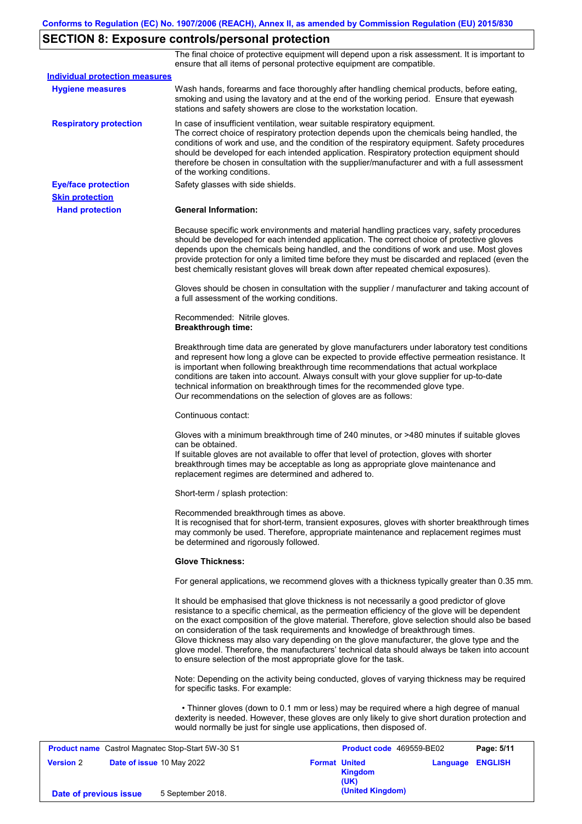# **SECTION 8: Exposure controls/personal protection**

The final choice of protective equipment will depend upon a risk assessment. It is important to ensure that all items of personal protective equipment are compatible.

|                                                  | Product name Castrol Magnatec Stop-Start 5W-30 S1                                                                                             | Product code 469559-BE02                                                                                                                                                                                                                                                                                                                                                                                                                                                                                                                                                       | Page: 5/11 |
|--------------------------------------------------|-----------------------------------------------------------------------------------------------------------------------------------------------|--------------------------------------------------------------------------------------------------------------------------------------------------------------------------------------------------------------------------------------------------------------------------------------------------------------------------------------------------------------------------------------------------------------------------------------------------------------------------------------------------------------------------------------------------------------------------------|------------|
|                                                  | would normally be just for single use applications, then disposed of.                                                                         | • Thinner gloves (down to 0.1 mm or less) may be required where a high degree of manual<br>dexterity is needed. However, these gloves are only likely to give short duration protection and                                                                                                                                                                                                                                                                                                                                                                                    |            |
|                                                  | for specific tasks. For example:                                                                                                              | Note: Depending on the activity being conducted, gloves of varying thickness may be required                                                                                                                                                                                                                                                                                                                                                                                                                                                                                   |            |
|                                                  | to ensure selection of the most appropriate glove for the task.                                                                               | It should be emphasised that glove thickness is not necessarily a good predictor of glove<br>resistance to a specific chemical, as the permeation efficiency of the glove will be dependent<br>on the exact composition of the glove material. Therefore, glove selection should also be based<br>on consideration of the task requirements and knowledge of breakthrough times.<br>Glove thickness may also vary depending on the glove manufacturer, the glove type and the<br>glove model. Therefore, the manufacturers' technical data should always be taken into account |            |
|                                                  |                                                                                                                                               | For general applications, we recommend gloves with a thickness typically greater than 0.35 mm.                                                                                                                                                                                                                                                                                                                                                                                                                                                                                 |            |
|                                                  | <b>Glove Thickness:</b>                                                                                                                       |                                                                                                                                                                                                                                                                                                                                                                                                                                                                                                                                                                                |            |
|                                                  | be determined and rigorously followed.                                                                                                        | It is recognised that for short-term, transient exposures, gloves with shorter breakthrough times<br>may commonly be used. Therefore, appropriate maintenance and replacement regimes must                                                                                                                                                                                                                                                                                                                                                                                     |            |
|                                                  | Short-term / splash protection:<br>Recommended breakthrough times as above.                                                                   |                                                                                                                                                                                                                                                                                                                                                                                                                                                                                                                                                                                |            |
|                                                  | replacement regimes are determined and adhered to.                                                                                            |                                                                                                                                                                                                                                                                                                                                                                                                                                                                                                                                                                                |            |
|                                                  | can be obtained.                                                                                                                              | Gloves with a minimum breakthrough time of 240 minutes, or >480 minutes if suitable gloves<br>If suitable gloves are not available to offer that level of protection, gloves with shorter<br>breakthrough times may be acceptable as long as appropriate glove maintenance and                                                                                                                                                                                                                                                                                                 |            |
|                                                  | Continuous contact:                                                                                                                           |                                                                                                                                                                                                                                                                                                                                                                                                                                                                                                                                                                                |            |
|                                                  | technical information on breakthrough times for the recommended glove type.<br>Our recommendations on the selection of gloves are as follows: | Breakthrough time data are generated by glove manufacturers under laboratory test conditions<br>and represent how long a glove can be expected to provide effective permeation resistance. It<br>is important when following breakthrough time recommendations that actual workplace<br>conditions are taken into account. Always consult with your glove supplier for up-to-date                                                                                                                                                                                              |            |
|                                                  | Recommended: Nitrile gloves.<br><b>Breakthrough time:</b>                                                                                     |                                                                                                                                                                                                                                                                                                                                                                                                                                                                                                                                                                                |            |
|                                                  | a full assessment of the working conditions.                                                                                                  | Gloves should be chosen in consultation with the supplier / manufacturer and taking account of                                                                                                                                                                                                                                                                                                                                                                                                                                                                                 |            |
|                                                  |                                                                                                                                               | should be developed for each intended application. The correct choice of protective gloves<br>depends upon the chemicals being handled, and the conditions of work and use. Most gloves<br>provide protection for only a limited time before they must be discarded and replaced (even the<br>best chemically resistant gloves will break down after repeated chemical exposures).                                                                                                                                                                                             |            |
|                                                  |                                                                                                                                               | Because specific work environments and material handling practices vary, safety procedures                                                                                                                                                                                                                                                                                                                                                                                                                                                                                     |            |
| <b>Skin protection</b><br><b>Hand protection</b> | <b>General Information:</b>                                                                                                                   |                                                                                                                                                                                                                                                                                                                                                                                                                                                                                                                                                                                |            |
| <b>Eye/face protection</b>                       | Safety glasses with side shields.                                                                                                             |                                                                                                                                                                                                                                                                                                                                                                                                                                                                                                                                                                                |            |
| <b>Respiratory protection</b>                    | In case of insufficient ventilation, wear suitable respiratory equipment.<br>of the working conditions.                                       | The correct choice of respiratory protection depends upon the chemicals being handled, the<br>conditions of work and use, and the condition of the respiratory equipment. Safety procedures<br>should be developed for each intended application. Respiratory protection equipment should<br>therefore be chosen in consultation with the supplier/manufacturer and with a full assessment                                                                                                                                                                                     |            |
| <b>Hygiene measures</b>                          | stations and safety showers are close to the workstation location.                                                                            | Wash hands, forearms and face thoroughly after handling chemical products, before eating,<br>smoking and using the lavatory and at the end of the working period. Ensure that eyewash                                                                                                                                                                                                                                                                                                                                                                                          |            |

|                        | <b>Product name</b> Castrol Magnatec Stop-Start 5W-30 S1 |                              | Product code 469559-BE02 | Page: 5/11              |
|------------------------|----------------------------------------------------------|------------------------------|--------------------------|-------------------------|
| <b>Version 2</b>       | Date of issue 10 May 2022                                | <b>Format United</b><br>(UK) | <b>Kingdom</b>           | <b>Language ENGLISH</b> |
| Date of previous issue | 5 September 2018.                                        |                              | (United Kingdom)         |                         |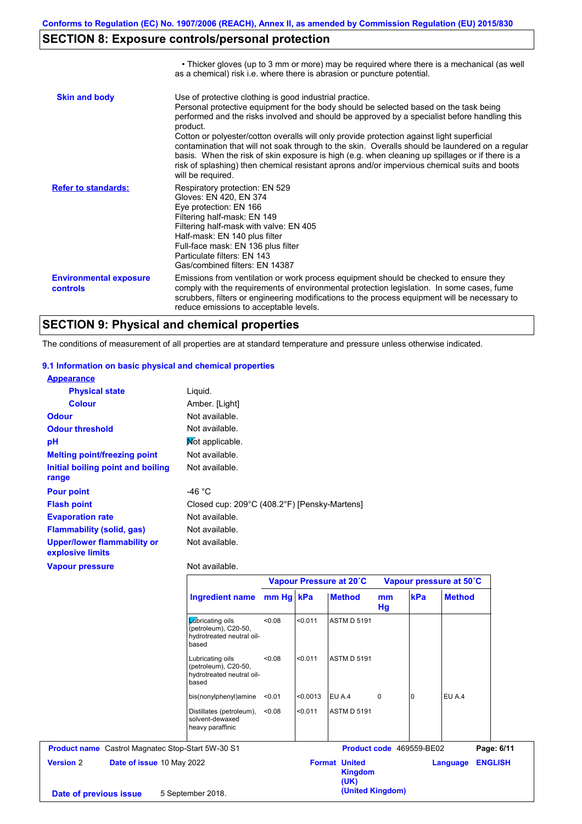# **SECTION 8: Exposure controls/personal protection**

|                                           | • Thicker gloves (up to 3 mm or more) may be required where there is a mechanical (as well<br>as a chemical) risk i.e. where there is abrasion or puncture potential.                                                                                                                                                                                                                                                                                                                                                                                                                                                                                                                 |
|-------------------------------------------|---------------------------------------------------------------------------------------------------------------------------------------------------------------------------------------------------------------------------------------------------------------------------------------------------------------------------------------------------------------------------------------------------------------------------------------------------------------------------------------------------------------------------------------------------------------------------------------------------------------------------------------------------------------------------------------|
| <b>Skin and body</b>                      | Use of protective clothing is good industrial practice.<br>Personal protective equipment for the body should be selected based on the task being<br>performed and the risks involved and should be approved by a specialist before handling this<br>product.<br>Cotton or polyester/cotton overalls will only provide protection against light superficial<br>contamination that will not soak through to the skin. Overalls should be laundered on a regular<br>basis. When the risk of skin exposure is high (e.g. when cleaning up spillages or if there is a<br>risk of splashing) then chemical resistant aprons and/or impervious chemical suits and boots<br>will be required. |
| <b>Refer to standards:</b>                | Respiratory protection: EN 529<br>Gloves: EN 420, EN 374<br>Eye protection: EN 166<br>Filtering half-mask: EN 149<br>Filtering half-mask with valve: EN 405<br>Half-mask: EN 140 plus filter<br>Full-face mask: EN 136 plus filter<br>Particulate filters: EN 143<br>Gas/combined filters: EN 14387                                                                                                                                                                                                                                                                                                                                                                                   |
| <b>Environmental exposure</b><br>controls | Emissions from ventilation or work process equipment should be checked to ensure they<br>comply with the requirements of environmental protection legislation. In some cases, fume<br>scrubbers, filters or engineering modifications to the process equipment will be necessary to<br>reduce emissions to acceptable levels.                                                                                                                                                                                                                                                                                                                                                         |

# **SECTION 9: Physical and chemical properties**

The conditions of measurement of all properties are at standard temperature and pressure unless otherwise indicated.

#### **9.1 Information on basic physical and chemical properties**

| <b>Appearance</b>                                      |                                              |
|--------------------------------------------------------|----------------------------------------------|
| <b>Physical state</b>                                  | Liguid.                                      |
| <b>Colour</b>                                          | Amber. [Light]                               |
| <b>Odour</b>                                           | Not available.                               |
| <b>Odour threshold</b>                                 | Not available.                               |
| рH                                                     | Mot applicable.                              |
| <b>Melting point/freezing point</b>                    | Not available.                               |
| Initial boiling point and boiling                      | Not available.                               |
| range                                                  |                                              |
| <b>Pour point</b>                                      | -46 °C                                       |
| <b>Flash point</b>                                     | Closed cup: 209°C (408.2°F) [Pensky-Martens] |
| <b>Evaporation rate</b>                                | Not available.                               |
| <b>Flammability (solid, gas)</b>                       | Not available.                               |
| <b>Upper/lower flammability or</b><br>explosive limits | Not available.                               |
| <b>Vapour pressure</b>                                 | Not available.                               |

#### **Ingredient name Vapour Pressure at 20˚C Vapour pressure at 50˚C mm Hg kPa Method mm Hg Method** Lubricating oils (petroleum), C20-50, hydrotreated neutral oilbased <0.08 <0.011 ASTM D 5191 Lubricating oils (petroleum), C20-50, hydrotreated neutral oilbased <0.08 <0.011 ASTM D 5191 bis(nonylphenyl)amine <0.01 <0.0013 EU A.4 0 0 EU A.4 Distillates (petroleum), <0.08 solvent-dewaxed heavy paraffinic <0.08 <0.011 ASTM D 5191 **Product name** Castrol Magnatec Stop-Start 5W-30 S1 **Product code** 469559-BE02 **Page: 6/11 Version** 2 **Date of issue** 10 May 2022 **Format United Kingdom (UK) Language ENGLISH (United Kingdom) Date of previous issue** 5 September 2018.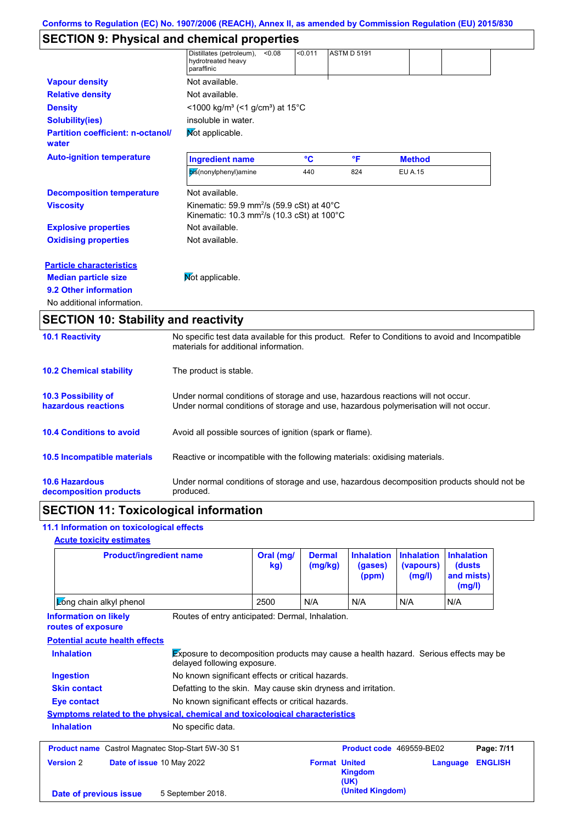# **SECTION 9: Physical and chemical properties**

|                                                   | Distillates (petroleum),<br>< 0.08<br>hydrotreated heavy<br>paraffinic                                                                | < 0.011 | <b>ASTM D 5191</b> |                |  |
|---------------------------------------------------|---------------------------------------------------------------------------------------------------------------------------------------|---------|--------------------|----------------|--|
| <b>Vapour density</b>                             | Not available.                                                                                                                        |         |                    |                |  |
| <b>Relative density</b>                           | Not available.                                                                                                                        |         |                    |                |  |
| <b>Density</b>                                    | $\leq$ 1000 kg/m <sup>3</sup> (<1 g/cm <sup>3</sup> ) at 15 <sup>°</sup> C                                                            |         |                    |                |  |
| <b>Solubility(ies)</b>                            | insoluble in water.                                                                                                                   |         |                    |                |  |
| <b>Partition coefficient: n-octanol/</b><br>water | Mot applicable.                                                                                                                       |         |                    |                |  |
| <b>Auto-ignition temperature</b>                  | <b>Ingredient name</b>                                                                                                                | °C      | °F                 | <b>Method</b>  |  |
|                                                   | bis(nonylphenyl)amine                                                                                                                 | 440     | 824                | <b>EU A.15</b> |  |
| <b>Decomposition temperature</b>                  | Not available.                                                                                                                        |         |                    |                |  |
| <b>Viscosity</b>                                  | Kinematic: 59.9 mm <sup>2</sup> /s (59.9 cSt) at $40^{\circ}$ C<br>Kinematic: $10.3$ mm <sup>2</sup> /s (10.3 cSt) at $100^{\circ}$ C |         |                    |                |  |
| <b>Explosive properties</b>                       | Not available.                                                                                                                        |         |                    |                |  |
| <b>Oxidising properties</b>                       | Not available.                                                                                                                        |         |                    |                |  |
| <b>Particle characteristics</b>                   |                                                                                                                                       |         |                    |                |  |
| <b>Median particle size</b>                       | Mot applicable.                                                                                                                       |         |                    |                |  |
| 9.2 Other information                             |                                                                                                                                       |         |                    |                |  |
| No additional information.                        |                                                                                                                                       |         |                    |                |  |
| <b>SECTION 10: Stability and reactivity</b>       |                                                                                                                                       |         |                    |                |  |

| <b>10.1 Reactivity</b>                            | No specific test data available for this product. Refer to Conditions to avoid and Incompatible<br>materials for additional information.                                |
|---------------------------------------------------|-------------------------------------------------------------------------------------------------------------------------------------------------------------------------|
| <b>10.2 Chemical stability</b>                    | The product is stable.                                                                                                                                                  |
| <b>10.3 Possibility of</b><br>hazardous reactions | Under normal conditions of storage and use, hazardous reactions will not occur.<br>Under normal conditions of storage and use, hazardous polymerisation will not occur. |
| <b>10.4 Conditions to avoid</b>                   | Avoid all possible sources of ignition (spark or flame).                                                                                                                |
| <b>10.5 Incompatible materials</b>                | Reactive or incompatible with the following materials: oxidising materials.                                                                                             |
| <b>10.6 Hazardous</b><br>decomposition products   | Under normal conditions of storage and use, hazardous decomposition products should not be<br>produced.                                                                 |

# **SECTION 11: Toxicological information**

### **11.1 Information on toxicological effects**

### **Acute toxicity estimates**

|                                                    | <b>Product/ingredient name</b>                                                                                             | Oral (mg/<br>kg) | <b>Dermal</b><br>(mg/kg) | <b>Inhalation</b><br>(gases)<br>(ppm) | <b>Inhalation</b><br>(vapours)<br>(mg/l) | <b>Inhalation</b><br>(dusts)<br>and mists)<br>(mg/l) |                |
|----------------------------------------------------|----------------------------------------------------------------------------------------------------------------------------|------------------|--------------------------|---------------------------------------|------------------------------------------|------------------------------------------------------|----------------|
| Long chain alkyl phenol                            |                                                                                                                            | 2500             | N/A                      | N/A                                   | N/A                                      | N/A                                                  |                |
| <b>Information on likely</b><br>routes of exposure | Routes of entry anticipated: Dermal, Inhalation.                                                                           |                  |                          |                                       |                                          |                                                      |                |
| <b>Potential acute health effects</b>              |                                                                                                                            |                  |                          |                                       |                                          |                                                      |                |
| <b>Inhalation</b>                                  | <b>Exposure to decomposition products may cause a health hazard. Serious effects may be</b><br>delayed following exposure. |                  |                          |                                       |                                          |                                                      |                |
| <b>Ingestion</b>                                   | No known significant effects or critical hazards.                                                                          |                  |                          |                                       |                                          |                                                      |                |
| <b>Skin contact</b>                                | Defatting to the skin. May cause skin dryness and irritation.                                                              |                  |                          |                                       |                                          |                                                      |                |
| Eye contact                                        | No known significant effects or critical hazards.                                                                          |                  |                          |                                       |                                          |                                                      |                |
|                                                    | <u>Symptoms related to the physical, chemical and toxicological characteristics</u>                                        |                  |                          |                                       |                                          |                                                      |                |
| <b>Inhalation</b>                                  | No specific data.                                                                                                          |                  |                          |                                       |                                          |                                                      |                |
| <b>Product name</b>                                | Castrol Magnatec Stop-Start 5W-30 S1                                                                                       |                  |                          | Product code 469559-BE02              |                                          |                                                      | Page: 7/11     |
| <b>Version 2</b>                                   | Date of issue 10 May 2022                                                                                                  |                  | <b>Format United</b>     | <b>Kingdom</b><br>(UK)                |                                          | Language                                             | <b>ENGLISH</b> |
| Date of previous issue                             | 5 September 2018.                                                                                                          |                  |                          | (United Kingdom)                      |                                          |                                                      |                |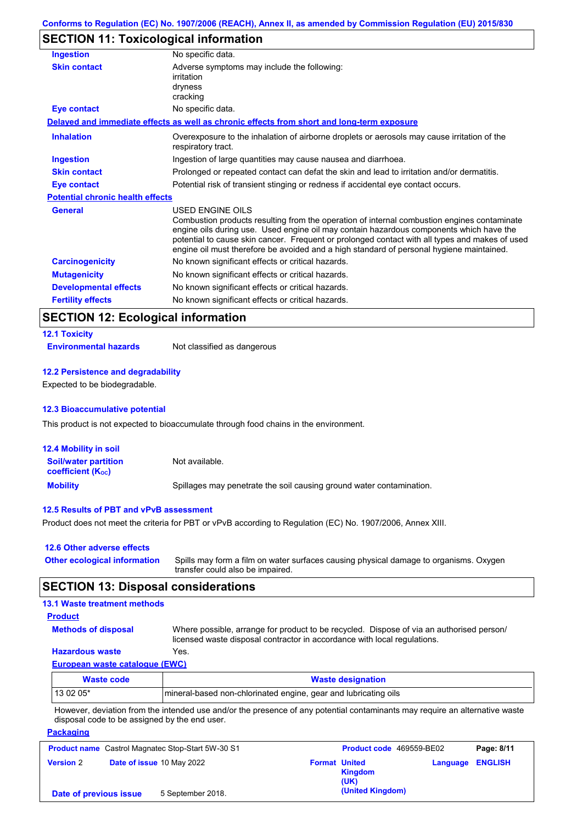# **SECTION 11: Toxicological information**

| <b>Ingestion</b>                        | No specific data.                                                                                                                                                                                                                                                                                                                                                                                        |
|-----------------------------------------|----------------------------------------------------------------------------------------------------------------------------------------------------------------------------------------------------------------------------------------------------------------------------------------------------------------------------------------------------------------------------------------------------------|
| <b>Skin contact</b>                     | Adverse symptoms may include the following:<br>irritation<br>dryness<br>cracking                                                                                                                                                                                                                                                                                                                         |
| <b>Eye contact</b>                      | No specific data.                                                                                                                                                                                                                                                                                                                                                                                        |
|                                         | Delayed and immediate effects as well as chronic effects from short and long-term exposure                                                                                                                                                                                                                                                                                                               |
| <b>Inhalation</b>                       | Overexposure to the inhalation of airborne droplets or aerosols may cause irritation of the<br>respiratory tract.                                                                                                                                                                                                                                                                                        |
| Ingestion                               | Ingestion of large quantities may cause nausea and diarrhoea.                                                                                                                                                                                                                                                                                                                                            |
| <b>Skin contact</b>                     | Prolonged or repeated contact can defat the skin and lead to irritation and/or dermatitis.                                                                                                                                                                                                                                                                                                               |
| Eye contact                             | Potential risk of transient stinging or redness if accidental eye contact occurs.                                                                                                                                                                                                                                                                                                                        |
| <b>Potential chronic health effects</b> |                                                                                                                                                                                                                                                                                                                                                                                                          |
| <b>General</b>                          | USED ENGINE OILS<br>Combustion products resulting from the operation of internal combustion engines contaminate<br>engine oils during use. Used engine oil may contain hazardous components which have the<br>potential to cause skin cancer. Frequent or prolonged contact with all types and makes of used<br>engine oil must therefore be avoided and a high standard of personal hygiene maintained. |
| <b>Carcinogenicity</b>                  | No known significant effects or critical hazards.                                                                                                                                                                                                                                                                                                                                                        |
| <b>Mutagenicity</b>                     | No known significant effects or critical hazards.                                                                                                                                                                                                                                                                                                                                                        |
| <b>Developmental effects</b>            | No known significant effects or critical hazards.                                                                                                                                                                                                                                                                                                                                                        |
| <b>Fertility effects</b>                | No known significant effects or critical hazards.                                                                                                                                                                                                                                                                                                                                                        |

# **SECTION 12: Ecological information**

### **12.1 Toxicity**

**Environmental hazards** Not classified as dangerous

#### **12.2 Persistence and degradability**

Expected to be biodegradable.

#### **12.3 Bioaccumulative potential**

This product is not expected to bioaccumulate through food chains in the environment.

| <b>12.4 Mobility in soil</b>                            |                                                                      |
|---------------------------------------------------------|----------------------------------------------------------------------|
| <b>Soil/water partition</b><br><b>coefficient (Koc)</b> | Not available.                                                       |
| <b>Mobility</b>                                         | Spillages may penetrate the soil causing ground water contamination. |

### **12.5 Results of PBT and vPvB assessment**

Product does not meet the criteria for PBT or vPvB according to Regulation (EC) No. 1907/2006, Annex XIII.

#### **12.6 Other adverse effects**

| Other ecological information Spills may form a film on water surfaces causing physical damage to organisms. Oxygen |
|--------------------------------------------------------------------------------------------------------------------|
| transfer could also be impaired.                                                                                   |

### **SECTION 13: Disposal considerations**

# **13.1 Waste treatment methods**

| <b>Product</b>             |  |  |
|----------------------------|--|--|
| <b>Methods of disposal</b> |  |  |

**Packaging**

Where possible, arrange for product to be recycled. Dispose of via an authorised person/ licensed waste disposal contractor in accordance with local regulations.

### **Hazardous waste** Yes.

|  | European waste catalogue (EWC) |  |  |  |
|--|--------------------------------|--|--|--|
|--|--------------------------------|--|--|--|

| Waste code | <b>Waste designation</b>                                        |
|------------|-----------------------------------------------------------------|
| 13 02 05*  | mineral-based non-chlorinated engine, gear and lubricating oils |

However, deviation from the intended use and/or the presence of any potential contaminants may require an alternative waste disposal code to be assigned by the end user.

|                        | <b>Product name</b> Castrol Magnatec Stop-Start 5W-30 S1 |                      | <b>Product code</b> 469559-BE02 |                         | Page: 8/11 |
|------------------------|----------------------------------------------------------|----------------------|---------------------------------|-------------------------|------------|
| <b>Version 2</b>       | Date of issue 10 May 2022                                | <b>Format United</b> | <b>Kingdom</b><br>(UK)          | <b>Language ENGLISH</b> |            |
| Date of previous issue | 5 September 2018.                                        |                      | (United Kingdom)                |                         |            |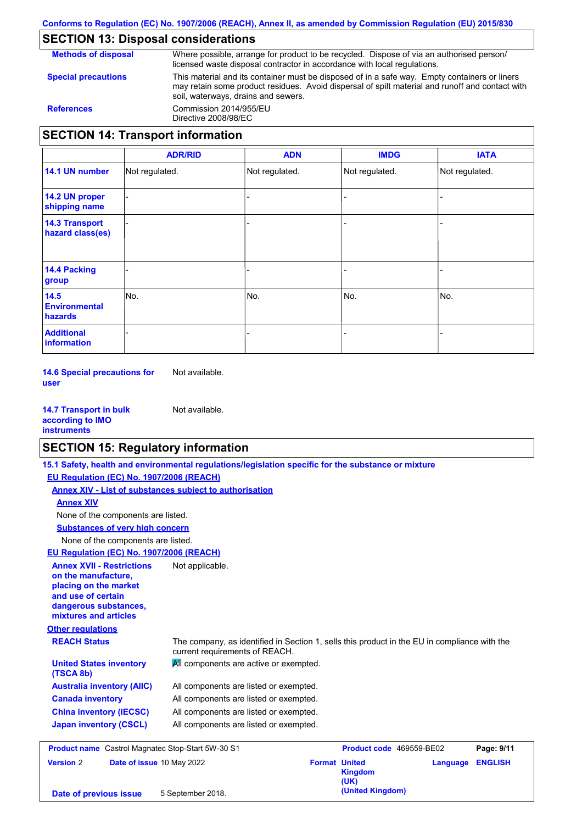# **SECTION 13: Disposal considerations**

**Methods of disposal Special precautions** Where possible, arrange for product to be recycled. Dispose of via an authorised person/ licensed waste disposal contractor in accordance with local regulations. This material and its container must be disposed of in a safe way. Empty containers or liners may retain some product residues. Avoid dispersal of spilt material and runoff and contact with soil, waterways, drains and sewers. **References** Commission 2014/955/EU Directive 2008/98/EC **SECTION 14: Transport information**

|                                           | <b>ADR/RID</b> | <b>ADN</b>     | <b>IMDG</b>    | <b>IATA</b>    |
|-------------------------------------------|----------------|----------------|----------------|----------------|
| 14.1 UN number                            | Not regulated. | Not regulated. | Not regulated. | Not regulated. |
| 14.2 UN proper<br>shipping name           |                |                |                |                |
| <b>14.3 Transport</b><br>hazard class(es) |                |                |                |                |
| 14.4 Packing<br>group                     |                |                |                |                |
| 14.5<br><b>Environmental</b><br>hazards   | No.            | No.            | No.            | No.            |
| <b>Additional</b><br><b>information</b>   |                |                |                |                |

**14.6 Special precautions for user** Not available.

| <b>14.7 Transport in bulk</b> | Not available. |
|-------------------------------|----------------|
| according to <b>IMO</b>       |                |
| <b>instruments</b>            |                |

### **SECTION 15: Regulatory information**

**15.1 Safety, health and environmental regulations/legislation specific for the substance or mixture**

**Other regulations REACH Status** The company, as identified in Section 1, sells this product in the EU in compliance with the current requirements of REACH. **EU Regulation (EC) No. 1907/2006 (REACH) Annex XIV - List of substances subject to authorisation Substances of very high concern** None of the components are listed. All components are listed or exempted. All components are listed or exempted. All components are listed or exempted. All components are listed or exempted. **United States inventory** <br>All components are active or exempted. **(TSCA 8b) Australia inventory (AIIC) Canada inventory China inventory (IECSC) Japan inventory (CSCL)** None of the components are listed. **Annex XIV EU Regulation (EC) No. 1907/2006 (REACH) Annex XVII - Restrictions on the manufacture, placing on the market and use of certain dangerous substances, mixtures and articles** Not applicable. **Product name** Castrol Magnatec Stop-Start 5W-30 S1 **Product code** 469559-BE02 **Page: 9/11 Version** 2 **Date of issue** 10 May 2022 **Format United Language ENGLISH**

**Kingdom (UK) (United Kingdom) Date of previous issue** 5 September 2018.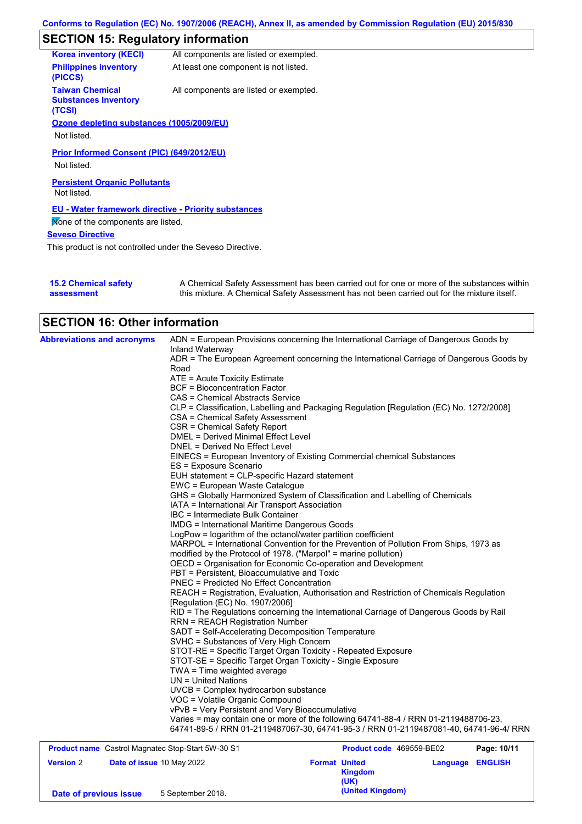# **SECTION 15: Regulatory information**

| <b>Korea inventory (KECI)</b>                                   | All components are listed or exempted. |
|-----------------------------------------------------------------|----------------------------------------|
| <b>Philippines inventory</b><br>(PICCS)                         | At least one component is not listed.  |
| <b>Taiwan Chemical</b><br><b>Substances Inventory</b><br>(TCSI) | All components are listed or exempted. |
| Ozone depleting substances (1005/2009/EU)                       |                                        |
| Not listed.                                                     |                                        |
| Prior Informed Consent (PIC) (649/2012/EU)                      |                                        |
| Not listed.                                                     |                                        |
| <b>Persistent Organic Pollutants</b><br>Not listed.             |                                        |
| <b>EU - Water framework directive - Priority substances</b>     |                                        |
| Mone of the components are listed.                              |                                        |
| <b>Seveso Directive</b>                                         |                                        |
| This product is not controlled under the Seveso Directive.      |                                        |
|                                                                 |                                        |

| <b>15.2 Chemical safety</b> | A Chemical Safety Assessment has been carried out for one or more of the substances within  |
|-----------------------------|---------------------------------------------------------------------------------------------|
| assessment                  | this mixture. A Chemical Safety Assessment has not been carried out for the mixture itself. |

# **SECTION 16: Other information**

| <b>Abbreviations and acronyms</b> | ADN = European Provisions concerning the International Carriage of Dangerous Goods by                                                                                         |
|-----------------------------------|-------------------------------------------------------------------------------------------------------------------------------------------------------------------------------|
|                                   | Inland Waterway                                                                                                                                                               |
|                                   | ADR = The European Agreement concerning the International Carriage of Dangerous Goods by                                                                                      |
|                                   | Road                                                                                                                                                                          |
|                                   | ATE = Acute Toxicity Estimate                                                                                                                                                 |
|                                   | <b>BCF</b> = Bioconcentration Factor                                                                                                                                          |
|                                   | CAS = Chemical Abstracts Service                                                                                                                                              |
|                                   | CLP = Classification, Labelling and Packaging Regulation [Regulation (EC) No. 1272/2008]                                                                                      |
|                                   | CSA = Chemical Safety Assessment                                                                                                                                              |
|                                   | <b>CSR = Chemical Safety Report</b>                                                                                                                                           |
|                                   | <b>DMEL = Derived Minimal Effect Level</b>                                                                                                                                    |
|                                   | DNEL = Derived No Effect Level                                                                                                                                                |
|                                   | EINECS = European Inventory of Existing Commercial chemical Substances                                                                                                        |
|                                   | ES = Exposure Scenario                                                                                                                                                        |
|                                   | EUH statement = CLP-specific Hazard statement                                                                                                                                 |
|                                   | EWC = European Waste Catalogue                                                                                                                                                |
|                                   | GHS = Globally Harmonized System of Classification and Labelling of Chemicals                                                                                                 |
|                                   | IATA = International Air Transport Association                                                                                                                                |
|                                   | IBC = Intermediate Bulk Container                                                                                                                                             |
|                                   | <b>IMDG</b> = International Maritime Dangerous Goods                                                                                                                          |
|                                   | LogPow = logarithm of the octanol/water partition coefficient                                                                                                                 |
|                                   | MARPOL = International Convention for the Prevention of Pollution From Ships, 1973 as                                                                                         |
|                                   | modified by the Protocol of 1978. ("Marpol" = marine pollution)                                                                                                               |
|                                   | OECD = Organisation for Economic Co-operation and Development                                                                                                                 |
|                                   | PBT = Persistent, Bioaccumulative and Toxic                                                                                                                                   |
|                                   | <b>PNEC = Predicted No Effect Concentration</b>                                                                                                                               |
|                                   | REACH = Registration, Evaluation, Authorisation and Restriction of Chemicals Regulation<br>[Regulation (EC) No. 1907/2006]                                                    |
|                                   | RID = The Regulations concerning the International Carriage of Dangerous Goods by Rail                                                                                        |
|                                   | <b>RRN = REACH Registration Number</b>                                                                                                                                        |
|                                   | SADT = Self-Accelerating Decomposition Temperature                                                                                                                            |
|                                   | SVHC = Substances of Very High Concern                                                                                                                                        |
|                                   | STOT-RE = Specific Target Organ Toxicity - Repeated Exposure                                                                                                                  |
|                                   | STOT-SE = Specific Target Organ Toxicity - Single Exposure                                                                                                                    |
|                                   | TWA = Time weighted average                                                                                                                                                   |
|                                   | $UN = United Nations$                                                                                                                                                         |
|                                   | UVCB = Complex hydrocarbon substance                                                                                                                                          |
|                                   | VOC = Volatile Organic Compound                                                                                                                                               |
|                                   | vPvB = Very Persistent and Very Bioaccumulative                                                                                                                               |
|                                   | Varies = may contain one or more of the following 64741-88-4 / RRN 01-2119488706-23.<br>64741-89-5 / RRN 01-2119487067-30, 64741-95-3 / RRN 01-2119487081-40, 64741-96-4/ RRN |
| $O = 1.1$                         | $Q_{\text{max}}$ $Q_{\text{max}}$ $P(M, 20, 24)$<br>Busilist sails, 100FF0, BE00<br><b>D</b> -1<br>. . <i>.</i> .                                                             |

|                        | <b>Product name</b> Castrol Magnatec Stop-Start 5W-30 S1 |                      | <b>Product code</b> 469559-BE02 |          | Page: 10/11    |
|------------------------|----------------------------------------------------------|----------------------|---------------------------------|----------|----------------|
| <b>Version 2</b>       | <b>Date of issue 10 May 2022</b>                         | <b>Format United</b> | <b>Kingdom</b><br>(UK)          | Language | <b>ENGLISH</b> |
| Date of previous issue | 5 September 2018.                                        |                      | (United Kingdom)                |          |                |